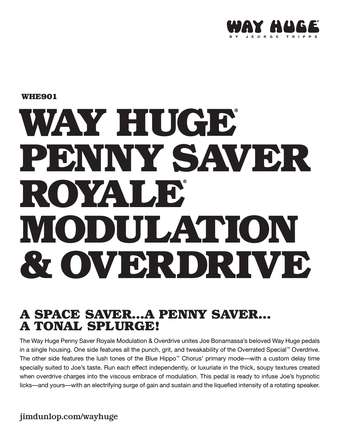

**WHE901**

# WAY HUGE<sup>®</sup> **PENNY SAVER ROYALE® MODULATION & OVERDRIVE ™**

#### **A SPACE SAVER…A PENNY SAVER… A TONAL SPLURGE!**

The Way Huge Penny Saver Royale Modulation & Overdrive unites Joe Bonamassa's beloved Way Huge pedals in a single housing. One side features all the punch, grit, and tweakability of the Overrated Special™ Overdrive. The other side features the lush tones of the Blue Hippo™ Chorus' primary mode—with a custom delay time specially suited to Joe's taste. Run each effect independently, or luxuriate in the thick, soupy textures created when overdrive charges into the viscous embrace of modulation. This pedal is ready to infuse Joe's hypnotic licks—and yours—with an electrifying surge of gain and sustain and the liquefied intensity of a rotating speaker.

jimdunlop.com/wayhuge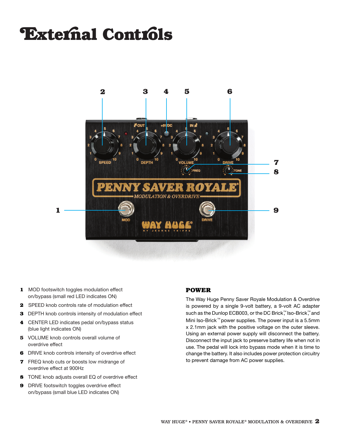### **External Controls**



- **1** MOD footswitch toggles modulation effect on/bypass (small red LED indicates ON)
- **2** SPEED knob controls rate of modulation effect
- **3** DEPTH knob controls intensity of modulation effect
- **4** CENTER LED indicates pedal on/bypass status (blue light indicates ON)
- **5** VOLUME knob controls overall volume of overdrive effect
- **6** DRIVE knob controls intensity of overdrive effect
- **7** FREQ knob cuts or boosts low midrange of overdrive effect at 900Hz
- **8** TONE knob adjusts overall EQ of overdrive effect
- **9** DRIVE footswitch toggles overdrive effect on/bypass (small blue LED indicates ON)

#### **POWER**

The Way Huge Penny Saver Royale Modulation & Overdrive is powered by a single 9-volt battery, a 9-volt AC adapter such as the Dunlop ECB003, or the DC Brick,™ Iso-Brick,™ and Mini Iso-Brick™ power supplies. The power input is a 5.5mm x 2.1mm jack with the positive voltage on the outer sleeve. Using an external power supply will disconnect the battery. Disconnect the input jack to preserve battery life when not in use. The pedal will lock into bypass mode when it is time to change the battery. It also includes power protection circuitry to prevent damage from AC power supplies.